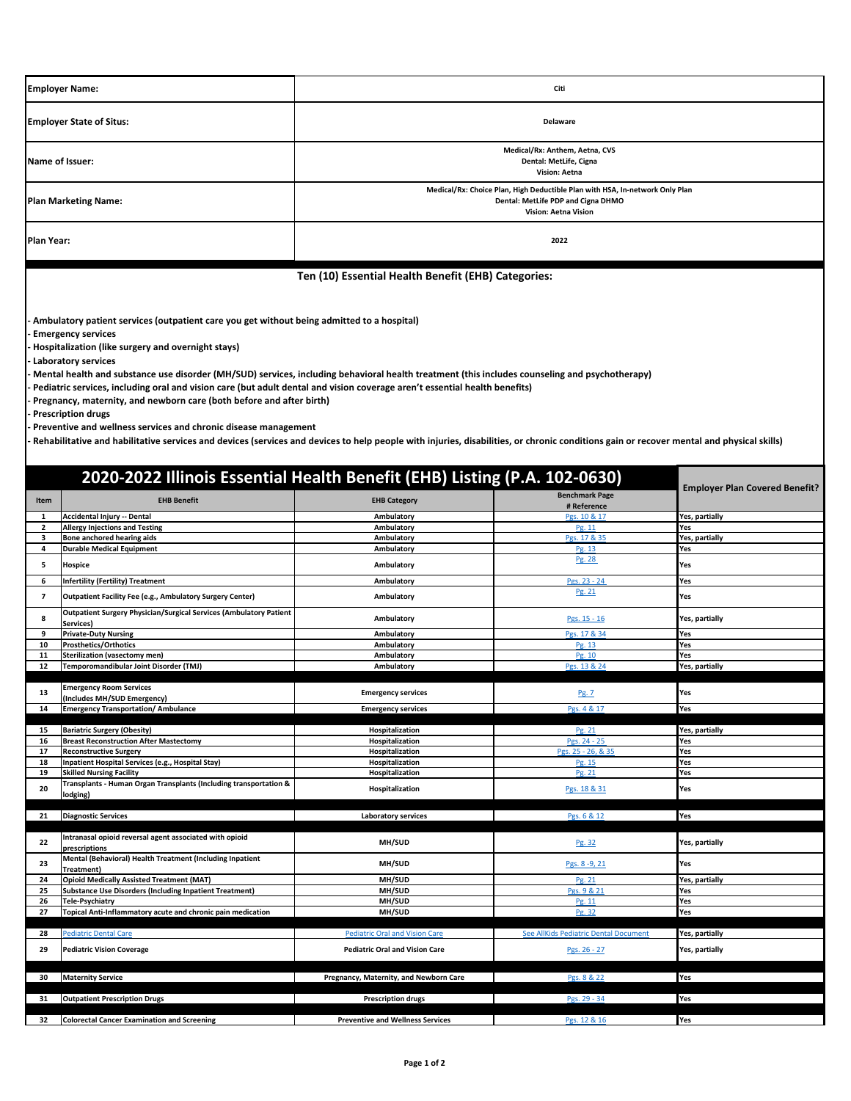| <b>Employer Name:</b>           | Citi                                                                                                                                              |  |
|---------------------------------|---------------------------------------------------------------------------------------------------------------------------------------------------|--|
| <b>Employer State of Situs:</b> | Delaware                                                                                                                                          |  |
| Name of Issuer:                 | Medical/Rx: Anthem, Aetna, CVS<br>Dental: MetLife, Cigna<br>Vision: Aetna                                                                         |  |
| <b>Plan Marketing Name:</b>     | Medical/Rx: Choice Plan, High Deductible Plan with HSA, In-network Only Plan<br>Dental: MetLife PDP and Cigna DHMO<br><b>Vision: Aetna Vision</b> |  |
| Plan Year:                      | 2022                                                                                                                                              |  |

**Ten (10) Essential Health Benefit (EHB) Categories:**

**- Ambulatory patient services (outpatient care you get without being admitted to a hospital)**

**- Emergency services**

**- Hospitalization (like surgery and overnight stays)**

**- Laboratory services**

**- Mental health and substance use disorder (MH/SUD) services, including behavioral health treatment (this includes counseling and psychotherapy)**

**- Pediatric services, including oral and vision care (but adult dental and vision coverage aren't essential health benefits)**

**- Pregnancy, maternity, and newborn care (both before and after birth)**

**- Prescription drugs**

**- Preventive and wellness services and chronic disease management**

**- Rehabilitative and habilitative services and devices (services and devices to help people with injuries, disabilities, or chronic conditions gain or recover mental and physical skills)**

|                          | 2020-2022 Illinois Essential Health Benefit (EHB) Listing (P.A. 102-0630)              | <b>Employer Plan Covered Benefit?</b>   |                                       |                |
|--------------------------|----------------------------------------------------------------------------------------|-----------------------------------------|---------------------------------------|----------------|
| Item                     | <b>EHB Benefit</b>                                                                     | <b>EHB Category</b>                     | <b>Benchmark Page</b><br># Reference  |                |
| 1                        | <b>Accidental Injury -- Dental</b>                                                     | Ambulatory                              | Pgs. 10 & 17                          | Yes, partially |
| $\overline{2}$           | <b>Allergy Injections and Testing</b>                                                  | Ambulatory                              | Pg. 11                                | Yes            |
| 3                        | Bone anchored hearing aids                                                             | Ambulatory                              | Pgs. 17 & 35                          | Yes, partially |
| 4                        | <b>Durable Medical Equipment</b>                                                       | Ambulatory                              | Pg. 13                                | Yes            |
| 5                        | Hospice                                                                                | Ambulatory                              | Pg. 28                                | Yes            |
| 6                        | <b>Infertility (Fertility) Treatment</b>                                               | Ambulatory                              | Pgs. 23 - 24                          | Yes            |
| $\overline{\phantom{a}}$ | Outpatient Facility Fee (e.g., Ambulatory Surgery Center)                              | Ambulatory                              | Pg. 21                                | Yes            |
| 8                        | <b>Outpatient Surgery Physician/Surgical Services (Ambulatory Patient</b><br>Services) | Ambulatory                              | Pgs. 15 - 16                          | Yes, partially |
| 9                        | <b>Private-Duty Nursing</b>                                                            | Ambulatory                              | Pgs. 17 & 34                          | Yes            |
| 10                       | <b>Prosthetics/Orthotics</b>                                                           | Ambulatory                              | Pg. 13                                | Yes            |
| 11                       | Sterilization (vasectomy men)                                                          | Ambulatory                              | Pg. 10                                | Yes            |
| 12                       | Temporomandibular Joint Disorder (TMJ)                                                 | Ambulatory                              | Pgs. 13 & 24                          | Yes, partially |
|                          |                                                                                        |                                         |                                       |                |
| 13                       | <b>Emergency Room Services</b><br>(Includes MH/SUD Emergency)                          | <b>Emergency services</b>               | Pg. 7                                 | Yes            |
| 14                       | <b>Emergency Transportation/ Ambulance</b>                                             | <b>Emergency services</b>               | Pgs. 4 & 17                           | Yes            |
|                          |                                                                                        |                                         |                                       |                |
| 15                       | <b>Bariatric Surgery (Obesity)</b>                                                     | Hospitalization                         | Pg. 21                                | Yes, partially |
| 16                       | <b>Breast Reconstruction After Mastectomy</b>                                          | Hospitalization                         | Pgs. 24 - 25                          | Yes            |
| 17                       | <b>Reconstructive Surgery</b>                                                          | Hospitalization                         | Pgs. 25 - 26, & 35                    | Yes            |
| 18                       | Inpatient Hospital Services (e.g., Hospital Stay)                                      | Hospitalization                         | Pg. 15                                | Yes            |
| 19                       | <b>Skilled Nursing Facility</b>                                                        | Hospitalization                         | Pg. 21                                | Yes            |
|                          | Transplants - Human Organ Transplants (Including transportation &                      |                                         |                                       |                |
| 20                       | lodging)                                                                               | Hospitalization                         | Pgs. 18 & 31                          | Yes            |
|                          |                                                                                        |                                         |                                       |                |
| 21                       | <b>Diagnostic Services</b>                                                             | <b>Laboratory services</b>              | Pgs. 6 & 12                           | Yes            |
|                          |                                                                                        |                                         |                                       |                |
| 22                       | Intranasal opioid reversal agent associated with opioid                                | MH/SUD                                  | Pg. 32                                | Yes, partially |
|                          | prescriptions                                                                          |                                         |                                       |                |
| 23                       | Mental (Behavioral) Health Treatment (Including Inpatient                              | MH/SUD                                  | Pgs. 8-9, 21                          | Yes            |
|                          | Treatment)                                                                             |                                         |                                       |                |
| 24                       | <b>Opioid Medically Assisted Treatment (MAT)</b>                                       | MH/SUD                                  | Pg. 21                                | Yes, partially |
| 25                       | <b>Substance Use Disorders (Including Inpatient Treatment)</b>                         | MH/SUD                                  | Pgs. 9 & 21                           | Yes            |
| 26                       | <b>Tele-Psychiatry</b>                                                                 | MH/SUD                                  | Pg. 11                                | Yes            |
| 27                       | Topical Anti-Inflammatory acute and chronic pain medication                            | MH/SUD                                  | Pg. 32                                | Yes            |
|                          |                                                                                        |                                         |                                       |                |
| 28                       | <b>Pediatric Dental Care</b>                                                           | <b>Pediatric Oral and Vision Care</b>   | See AllKids Pediatric Dental Document | Yes, partially |
| 29                       | <b>Pediatric Vision Coverage</b>                                                       | <b>Pediatric Oral and Vision Care</b>   | Pgs. 26 - 27                          | Yes, partially |
|                          |                                                                                        |                                         |                                       |                |
| 30                       | <b>Maternity Service</b>                                                               | Pregnancy, Maternity, and Newborn Care  | Pgs. 8 & 22                           | Yes            |
|                          |                                                                                        |                                         |                                       |                |
| 31                       | <b>Outpatient Prescription Drugs</b>                                                   | <b>Prescription drugs</b>               | Pgs. 29 - 34                          | Yes            |
| 32                       | <b>Colorectal Cancer Examination and Screening</b>                                     | <b>Preventive and Wellness Services</b> | Pgs. 12 & 16                          | Yes            |
|                          |                                                                                        |                                         |                                       |                |